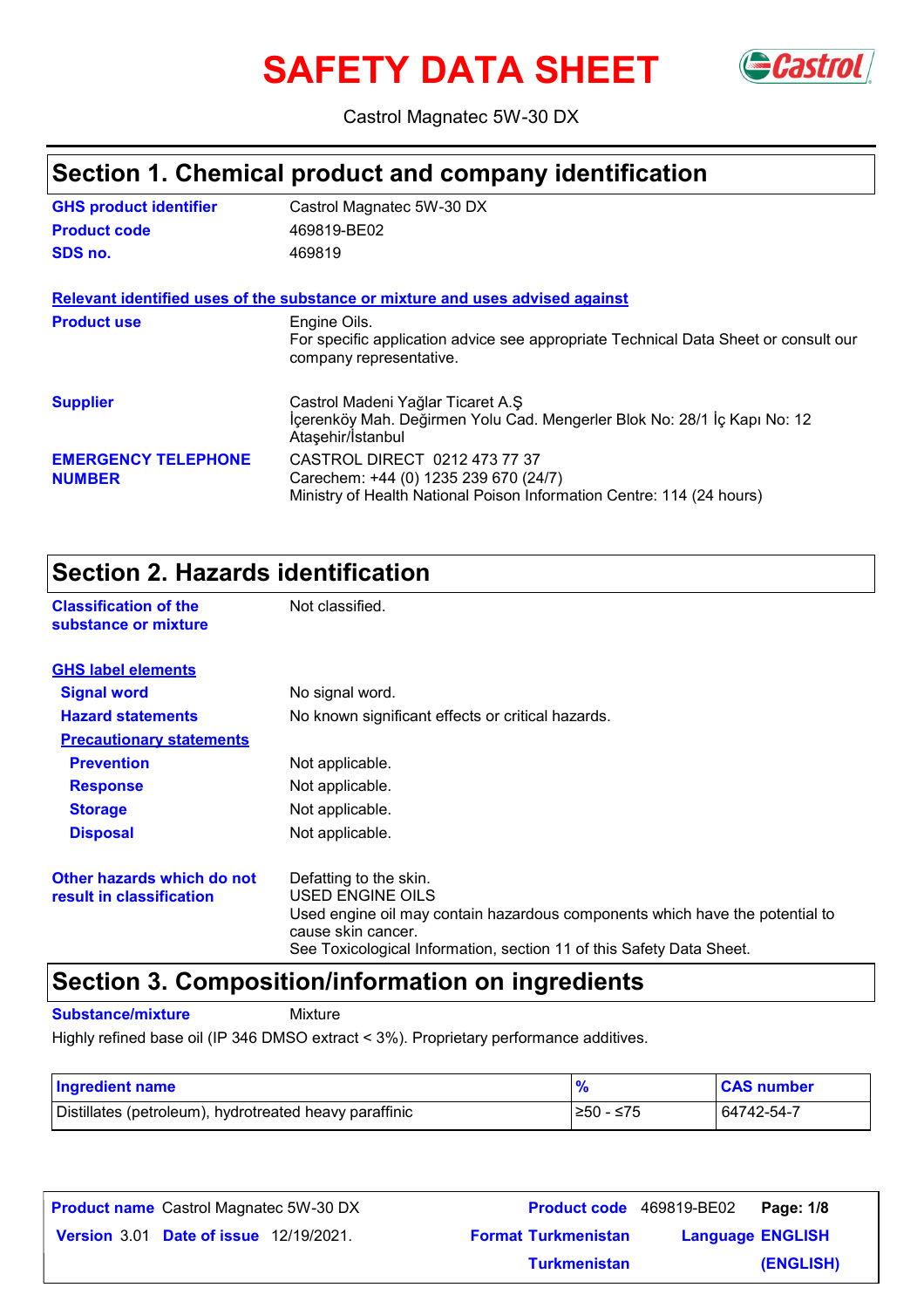# **SAFETY DATA SHEET** Gastrol



Castrol Magnatec 5W-30 DX

### **Section 1. Chemical product and company identification**

| <b>GHS product identifier</b>               | Castrol Magnatec 5W-30 DX                                                                                                                       |
|---------------------------------------------|-------------------------------------------------------------------------------------------------------------------------------------------------|
| <b>Product code</b>                         | 469819-BE02                                                                                                                                     |
| SDS no.                                     | 469819                                                                                                                                          |
|                                             | Relevant identified uses of the substance or mixture and uses advised against                                                                   |
| <b>Product use</b>                          | Engine Oils.<br>For specific application advice see appropriate Technical Data Sheet or consult our<br>company representative.                  |
| <b>Supplier</b>                             | Castrol Madeni Yağlar Ticaret A.Ş<br>İçerenköy Mah. Değirmen Yolu Cad. Mengerler Blok No: 28/1 İç Kapı No: 12<br>Ataşehir/İstanbul              |
| <b>EMERGENCY TELEPHONE</b><br><b>NUMBER</b> | CASTROL DIRECT 0212 473 77 37<br>Carechem: +44 (0) 1235 239 670 (24/7)<br>Ministry of Health National Poison Information Centre: 114 (24 hours) |

### **Section 2. Hazards identification**

**Classification of the Mot classified. substance or mixture**

| <b>GHS label elements</b>                              |                                                                                                                                                                                                                          |
|--------------------------------------------------------|--------------------------------------------------------------------------------------------------------------------------------------------------------------------------------------------------------------------------|
| <b>Signal word</b>                                     | No signal word.                                                                                                                                                                                                          |
| <b>Hazard statements</b>                               | No known significant effects or critical hazards.                                                                                                                                                                        |
| <b>Precautionary statements</b>                        |                                                                                                                                                                                                                          |
| <b>Prevention</b>                                      | Not applicable.                                                                                                                                                                                                          |
| <b>Response</b>                                        | Not applicable.                                                                                                                                                                                                          |
| <b>Storage</b>                                         | Not applicable.                                                                                                                                                                                                          |
| <b>Disposal</b>                                        | Not applicable.                                                                                                                                                                                                          |
| Other hazards which do not<br>result in classification | Defatting to the skin.<br>USED ENGINE OILS<br>Used engine oil may contain hazardous components which have the potential to<br>cause skin cancer.<br>See Toxicological Information, section 11 of this Safety Data Sheet. |

### **Section 3. Composition/information on ingredients**

**Substance/mixture** Mixture

Highly refined base oil (IP 346 DMSO extract < 3%). Proprietary performance additives.

| <b>Ingredient name</b>                                 |            | <b>CAS number</b> |
|--------------------------------------------------------|------------|-------------------|
| Distillates (petroleum), hydrotreated heavy paraffinic | l≥50 - ≤75 | 64742-54-7        |

| <b>Product name</b> Castrol Magnatec 5W-30 DX |                            | Product code 469819-BE02 Page: 1/8 |  |
|-----------------------------------------------|----------------------------|------------------------------------|--|
| <b>Version 3.01 Date of issue 12/19/2021.</b> | <b>Format Turkmenistan</b> | <b>Language ENGLISH</b>            |  |
|                                               | <b>Turkmenistan</b>        | (ENGLISH)                          |  |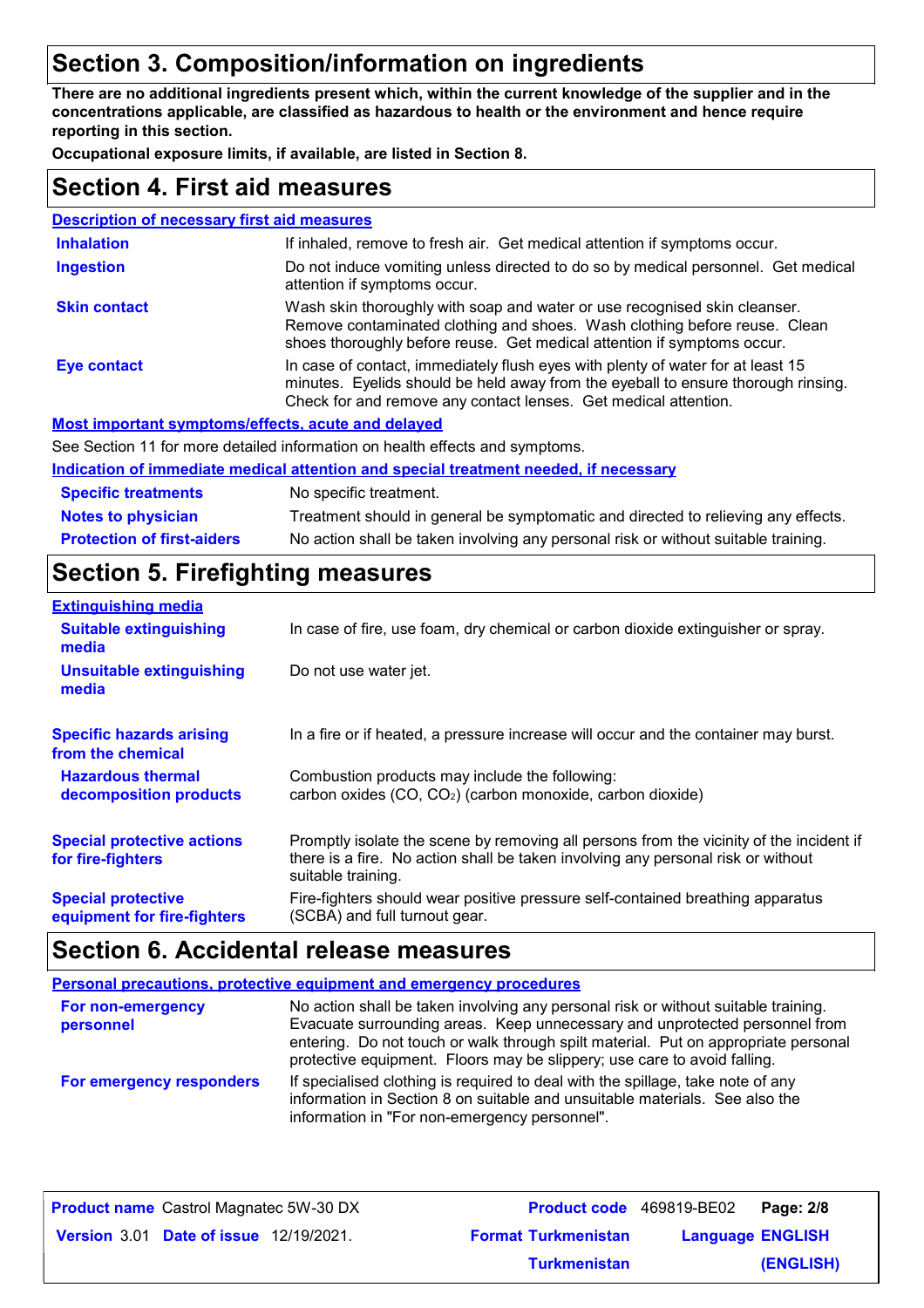### **Section 3. Composition/information on ingredients**

**There are no additional ingredients present which, within the current knowledge of the supplier and in the concentrations applicable, are classified as hazardous to health or the environment and hence require reporting in this section.**

**Occupational exposure limits, if available, are listed in Section 8.**

### **Section 4. First aid measures**

| <b>Description of necessary first aid measures</b> |                                                                                                                                                                                                                                         |
|----------------------------------------------------|-----------------------------------------------------------------------------------------------------------------------------------------------------------------------------------------------------------------------------------------|
| <b>Inhalation</b>                                  | If inhaled, remove to fresh air. Get medical attention if symptoms occur.                                                                                                                                                               |
| <b>Ingestion</b>                                   | Do not induce vomiting unless directed to do so by medical personnel. Get medical<br>attention if symptoms occur.                                                                                                                       |
| <b>Skin contact</b>                                | Wash skin thoroughly with soap and water or use recognised skin cleanser.<br>Remove contaminated clothing and shoes. Wash clothing before reuse. Clean<br>shoes thoroughly before reuse. Get medical attention if symptoms occur.       |
| <b>Eye contact</b>                                 | In case of contact, immediately flush eyes with plenty of water for at least 15<br>minutes. Eyelids should be held away from the eyeball to ensure thorough rinsing.<br>Check for and remove any contact lenses. Get medical attention. |
|                                                    | Most important symptoms/effects, acute and delayed                                                                                                                                                                                      |
|                                                    | See Section 11 for more detailed information on health effects and symptoms.                                                                                                                                                            |
|                                                    | Indication of immediate medical attention and special treatment needed, if necessary                                                                                                                                                    |
| <b>Specific treatments</b>                         | No specific treatment.                                                                                                                                                                                                                  |

**Protection of first-aiders** No action shall be taken involving any personal risk or without suitable training. **Notes to physician** Treatment should in general be symptomatic and directed to relieving any effects.

### **Section 5. Firefighting measures**

| <b>Extinguishing media</b>                               |                                                                                                                                                                                                   |
|----------------------------------------------------------|---------------------------------------------------------------------------------------------------------------------------------------------------------------------------------------------------|
| <b>Suitable extinguishing</b><br>media                   | In case of fire, use foam, dry chemical or carbon dioxide extinguisher or spray.                                                                                                                  |
| <b>Unsuitable extinguishing</b><br>media                 | Do not use water jet.                                                                                                                                                                             |
| <b>Specific hazards arising</b><br>from the chemical     | In a fire or if heated, a pressure increase will occur and the container may burst.                                                                                                               |
| <b>Hazardous thermal</b><br>decomposition products       | Combustion products may include the following:<br>carbon oxides (CO, CO <sub>2</sub> ) (carbon monoxide, carbon dioxide)                                                                          |
| <b>Special protective actions</b><br>for fire-fighters   | Promptly isolate the scene by removing all persons from the vicinity of the incident if<br>there is a fire. No action shall be taken involving any personal risk or without<br>suitable training. |
| <b>Special protective</b><br>equipment for fire-fighters | Fire-fighters should wear positive pressure self-contained breathing apparatus<br>(SCBA) and full turnout gear.                                                                                   |

### **Section 6. Accidental release measures**

| <b>Personal precautions, protective equipment and emergency procedures</b> |                                                                                                                                                                                                                                                                                                                                     |  |
|----------------------------------------------------------------------------|-------------------------------------------------------------------------------------------------------------------------------------------------------------------------------------------------------------------------------------------------------------------------------------------------------------------------------------|--|
| For non-emergency<br>personnel                                             | No action shall be taken involving any personal risk or without suitable training.<br>Evacuate surrounding areas. Keep unnecessary and unprotected personnel from<br>entering. Do not touch or walk through spilt material. Put on appropriate personal<br>protective equipment. Floors may be slippery; use care to avoid falling. |  |
| For emergency responders                                                   | If specialised clothing is required to deal with the spillage, take note of any<br>information in Section 8 on suitable and unsuitable materials. See also the<br>information in "For non-emergency personnel".                                                                                                                     |  |

| <b>Product name</b> Castrol Magnatec 5W-30 DX |                            | Product code 469819-BE02 Page: 2/8 |
|-----------------------------------------------|----------------------------|------------------------------------|
| <b>Version 3.01 Date of issue 12/19/2021.</b> | <b>Format Turkmenistan</b> | <b>Language ENGLISH</b>            |
|                                               | <b>Turkmenistan</b>        | (ENGLISH)                          |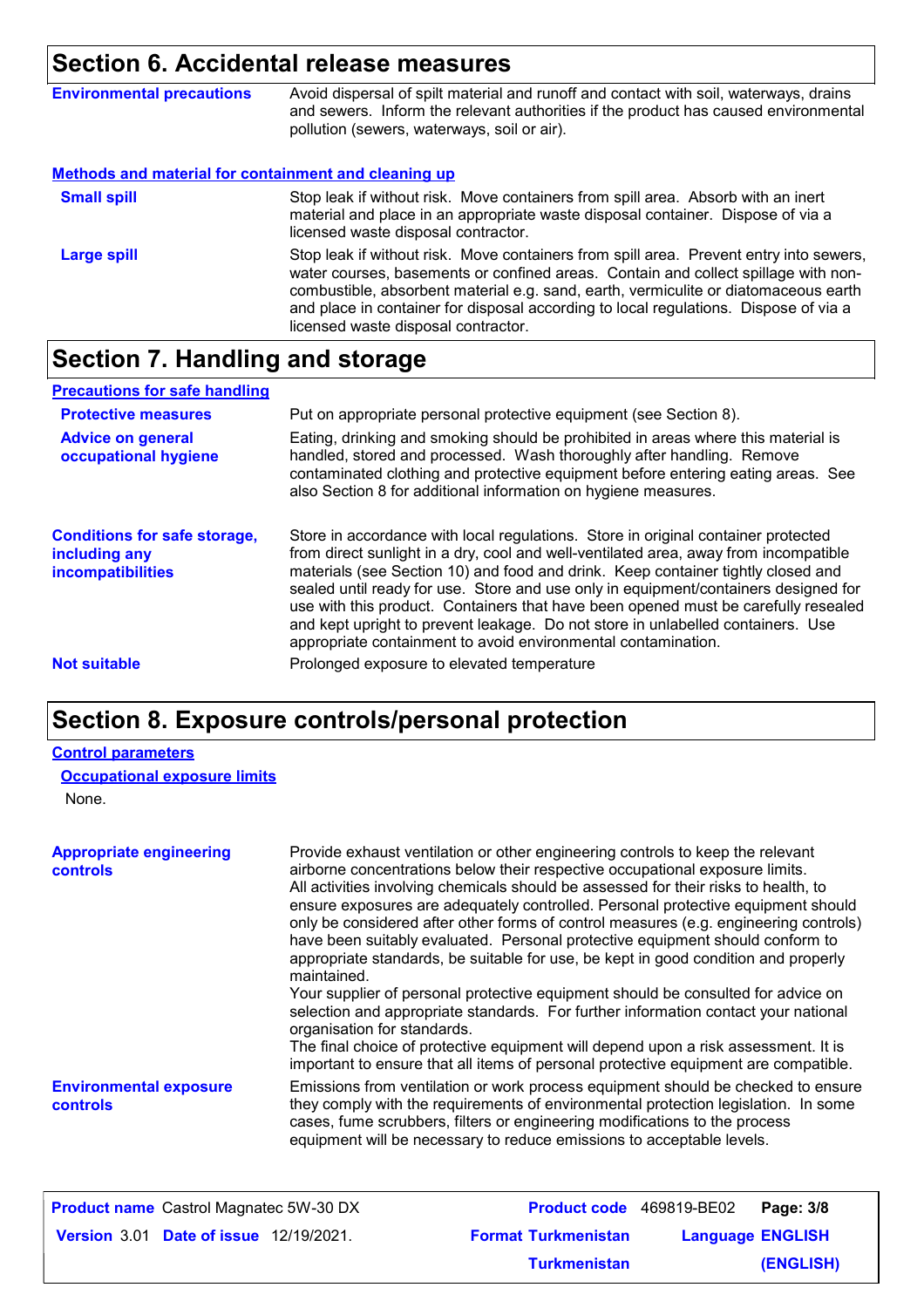### **Section 6. Accidental release measures**

| <b>Environmental precautions</b>                            | Avoid dispersal of spilt material and runoff and contact with soil, waterways, drains<br>and sewers. Inform the relevant authorities if the product has caused environmental<br>pollution (sewers, waterways, soil or air). |
|-------------------------------------------------------------|-----------------------------------------------------------------------------------------------------------------------------------------------------------------------------------------------------------------------------|
| <b>Methods and material for containment and cleaning up</b> |                                                                                                                                                                                                                             |
| <b>Small spill</b>                                          | Stop leak if without risk. Move containers from spill area. Absorb with an inert<br>material and place in an appropriate waste disposal container. Dispose of via a<br>licensed waste disposal contractor.                  |

Stop leak if without risk. Move containers from spill area. Prevent entry into sewers, water courses, basements or confined areas. Contain and collect spillage with noncombustible, absorbent material e.g. sand, earth, vermiculite or diatomaceous earth and place in container for disposal according to local regulations. Dispose of via a licensed waste disposal contractor. **Large spill**

### **Section 7. Handling and storage**

| <b>Precautions for safe handling</b>                                             |                                                                                                                                                                                                                                                                                                                                                                                                                                                                                                                                                                                                |
|----------------------------------------------------------------------------------|------------------------------------------------------------------------------------------------------------------------------------------------------------------------------------------------------------------------------------------------------------------------------------------------------------------------------------------------------------------------------------------------------------------------------------------------------------------------------------------------------------------------------------------------------------------------------------------------|
| <b>Protective measures</b>                                                       | Put on appropriate personal protective equipment (see Section 8).                                                                                                                                                                                                                                                                                                                                                                                                                                                                                                                              |
| <b>Advice on general</b><br>occupational hygiene                                 | Eating, drinking and smoking should be prohibited in areas where this material is<br>handled, stored and processed. Wash thoroughly after handling. Remove<br>contaminated clothing and protective equipment before entering eating areas. See<br>also Section 8 for additional information on hygiene measures.                                                                                                                                                                                                                                                                               |
| <b>Conditions for safe storage,</b><br>including any<br><b>incompatibilities</b> | Store in accordance with local regulations. Store in original container protected<br>from direct sunlight in a dry, cool and well-ventilated area, away from incompatible<br>materials (see Section 10) and food and drink. Keep container tightly closed and<br>sealed until ready for use. Store and use only in equipment/containers designed for<br>use with this product. Containers that have been opened must be carefully resealed<br>and kept upright to prevent leakage. Do not store in unlabelled containers. Use<br>appropriate containment to avoid environmental contamination. |
| <b>Not suitable</b>                                                              | Prolonged exposure to elevated temperature                                                                                                                                                                                                                                                                                                                                                                                                                                                                                                                                                     |

### **Section 8. Exposure controls/personal protection**

#### **Control parameters**

|  | <b>Occupational exposure limits</b> |
|--|-------------------------------------|
|--|-------------------------------------|

None.

| <b>Appropriate engineering</b><br><b>controls</b> | Provide exhaust ventilation or other engineering controls to keep the relevant<br>airborne concentrations below their respective occupational exposure limits.<br>All activities involving chemicals should be assessed for their risks to health, to<br>ensure exposures are adequately controlled. Personal protective equipment should<br>only be considered after other forms of control measures (e.g. engineering controls)<br>have been suitably evaluated. Personal protective equipment should conform to<br>appropriate standards, be suitable for use, be kept in good condition and properly<br>maintained.<br>Your supplier of personal protective equipment should be consulted for advice on<br>selection and appropriate standards. For further information contact your national<br>organisation for standards.<br>The final choice of protective equipment will depend upon a risk assessment. It is<br>important to ensure that all items of personal protective equipment are compatible. |
|---------------------------------------------------|---------------------------------------------------------------------------------------------------------------------------------------------------------------------------------------------------------------------------------------------------------------------------------------------------------------------------------------------------------------------------------------------------------------------------------------------------------------------------------------------------------------------------------------------------------------------------------------------------------------------------------------------------------------------------------------------------------------------------------------------------------------------------------------------------------------------------------------------------------------------------------------------------------------------------------------------------------------------------------------------------------------|
| <b>Environmental exposure</b><br><b>controls</b>  | Emissions from ventilation or work process equipment should be checked to ensure<br>they comply with the requirements of environmental protection legislation. In some<br>cases, fume scrubbers, filters or engineering modifications to the process<br>equipment will be necessary to reduce emissions to acceptable levels.                                                                                                                                                                                                                                                                                                                                                                                                                                                                                                                                                                                                                                                                                 |

| <b>Product name</b> Castrol Magnatec 5W-30 DX |                            | <b>Product code</b> 469819-BE02 Page: 3/8 |
|-----------------------------------------------|----------------------------|-------------------------------------------|
| <b>Version 3.01 Date of issue 12/19/2021.</b> | <b>Format Turkmenistan</b> | <b>Language ENGLISH</b>                   |
|                                               | <b>Turkmenistan</b>        | (ENGLISH)                                 |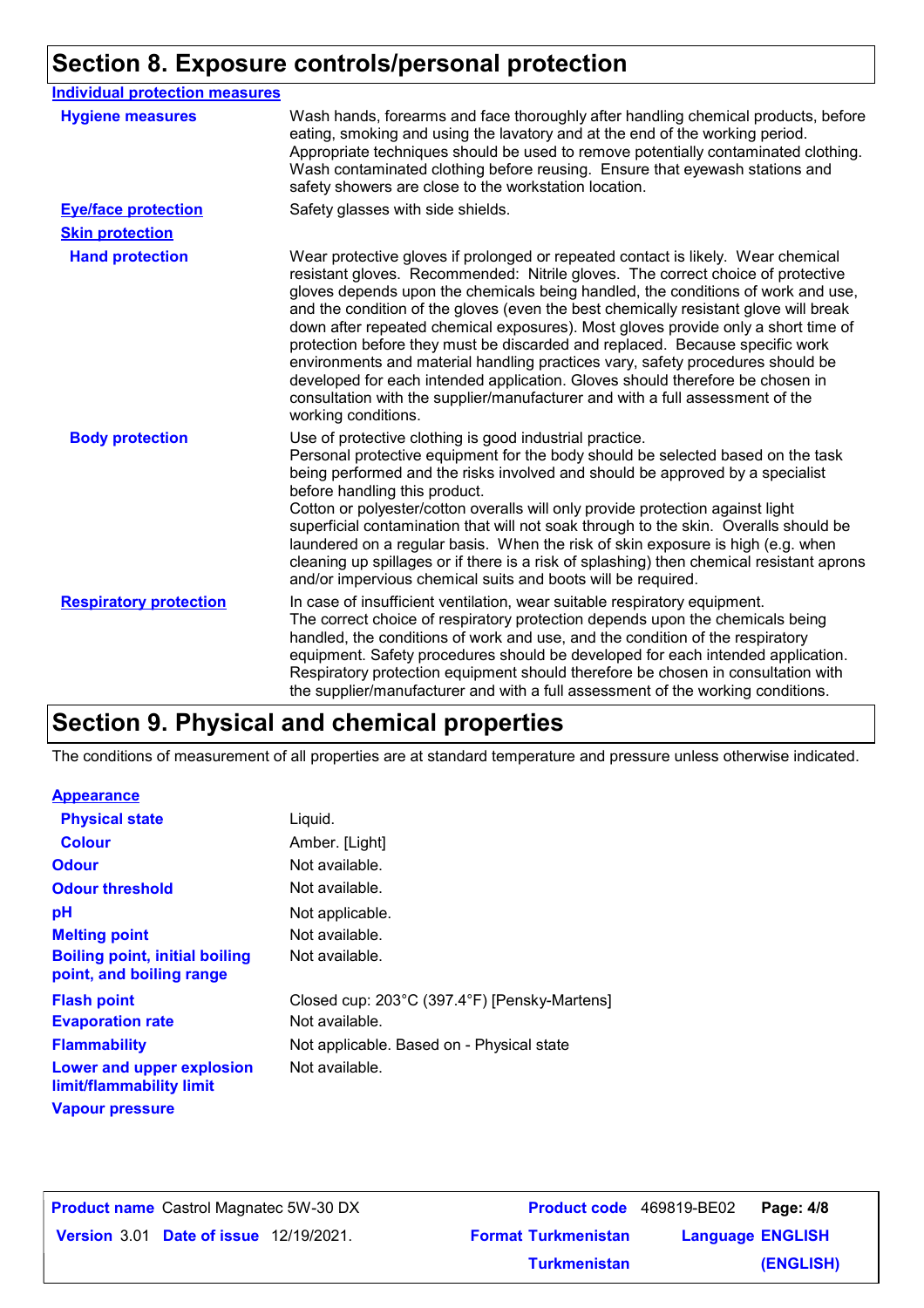## **Section 8. Exposure controls/personal protection**

| <b>Individual protection measures</b> |                                                                                                                                                                                                                                                                                                                                                                                                                                                                                                                                                                                                                                                                                                                                                                                                 |
|---------------------------------------|-------------------------------------------------------------------------------------------------------------------------------------------------------------------------------------------------------------------------------------------------------------------------------------------------------------------------------------------------------------------------------------------------------------------------------------------------------------------------------------------------------------------------------------------------------------------------------------------------------------------------------------------------------------------------------------------------------------------------------------------------------------------------------------------------|
| <b>Hygiene measures</b>               | Wash hands, forearms and face thoroughly after handling chemical products, before<br>eating, smoking and using the lavatory and at the end of the working period.<br>Appropriate techniques should be used to remove potentially contaminated clothing.<br>Wash contaminated clothing before reusing. Ensure that eyewash stations and<br>safety showers are close to the workstation location.                                                                                                                                                                                                                                                                                                                                                                                                 |
| <b>Eye/face protection</b>            | Safety glasses with side shields.                                                                                                                                                                                                                                                                                                                                                                                                                                                                                                                                                                                                                                                                                                                                                               |
| <b>Skin protection</b>                |                                                                                                                                                                                                                                                                                                                                                                                                                                                                                                                                                                                                                                                                                                                                                                                                 |
| <b>Hand protection</b>                | Wear protective gloves if prolonged or repeated contact is likely. Wear chemical<br>resistant gloves. Recommended: Nitrile gloves. The correct choice of protective<br>gloves depends upon the chemicals being handled, the conditions of work and use,<br>and the condition of the gloves (even the best chemically resistant glove will break<br>down after repeated chemical exposures). Most gloves provide only a short time of<br>protection before they must be discarded and replaced. Because specific work<br>environments and material handling practices vary, safety procedures should be<br>developed for each intended application. Gloves should therefore be chosen in<br>consultation with the supplier/manufacturer and with a full assessment of the<br>working conditions. |
| <b>Body protection</b>                | Use of protective clothing is good industrial practice.<br>Personal protective equipment for the body should be selected based on the task<br>being performed and the risks involved and should be approved by a specialist<br>before handling this product.<br>Cotton or polyester/cotton overalls will only provide protection against light<br>superficial contamination that will not soak through to the skin. Overalls should be<br>laundered on a regular basis. When the risk of skin exposure is high (e.g. when<br>cleaning up spillages or if there is a risk of splashing) then chemical resistant aprons<br>and/or impervious chemical suits and boots will be required.                                                                                                           |
| <b>Respiratory protection</b>         | In case of insufficient ventilation, wear suitable respiratory equipment.<br>The correct choice of respiratory protection depends upon the chemicals being<br>handled, the conditions of work and use, and the condition of the respiratory<br>equipment. Safety procedures should be developed for each intended application.<br>Respiratory protection equipment should therefore be chosen in consultation with<br>the supplier/manufacturer and with a full assessment of the working conditions.                                                                                                                                                                                                                                                                                           |

### **Section 9. Physical and chemical properties**

The conditions of measurement of all properties are at standard temperature and pressure unless otherwise indicated.

### **Appearance**

| <b>Physical state</b>                                             | Liquid.                                      |
|-------------------------------------------------------------------|----------------------------------------------|
| <b>Colour</b>                                                     | Amber. [Light]                               |
| <b>Odour</b>                                                      | Not available.                               |
| <b>Odour threshold</b>                                            | Not available.                               |
| рH                                                                | Not applicable.                              |
| <b>Melting point</b>                                              | Not available.                               |
| <b>Boiling point, initial boiling</b><br>point, and boiling range | Not available.                               |
| <b>Flash point</b>                                                | Closed cup: 203°C (397.4°F) [Pensky-Martens] |
| <b>Evaporation rate</b>                                           | Not available.                               |
| <b>Flammability</b>                                               | Not applicable. Based on - Physical state    |
| Lower and upper explosion<br>limit/flammability limit             | Not available.                               |
| <b>Vapour pressure</b>                                            |                                              |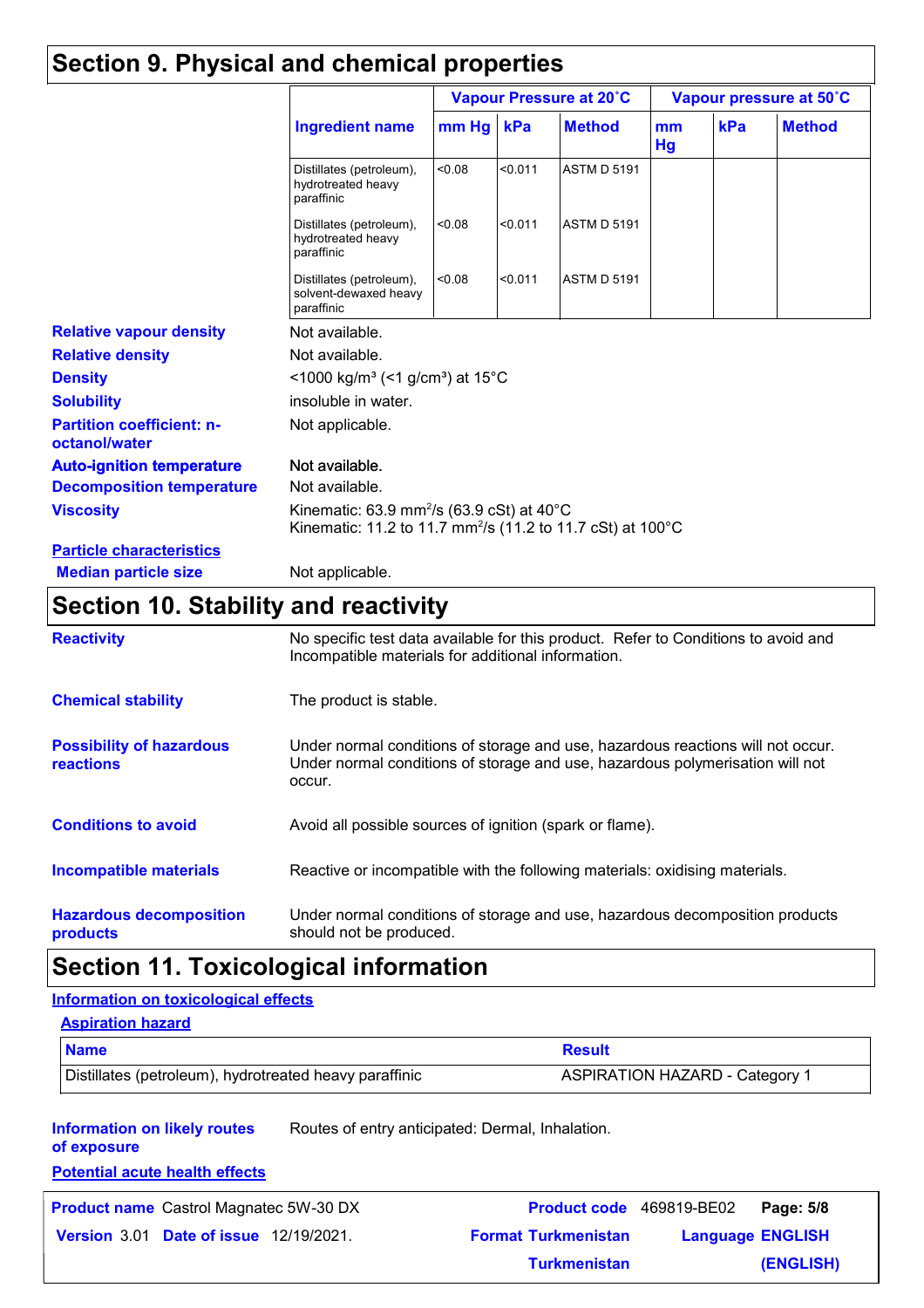### **Section 9. Physical and chemical properties**

|                                                   | Vapour Pressure at 20°C                                                                                                                    |                                                                      |         | Vapour pressure at 50°C |          |     |               |
|---------------------------------------------------|--------------------------------------------------------------------------------------------------------------------------------------------|----------------------------------------------------------------------|---------|-------------------------|----------|-----|---------------|
|                                                   | <b>Ingredient name</b>                                                                                                                     | $mm$ Hg                                                              | kPa     | <b>Method</b>           | mm<br>Hg | kPa | <b>Method</b> |
|                                                   | Distillates (petroleum),<br>hydrotreated heavy<br>paraffinic                                                                               | < 0.08                                                               | < 0.011 | <b>ASTM D 5191</b>      |          |     |               |
|                                                   | Distillates (petroleum),<br>hydrotreated heavy<br>paraffinic                                                                               | < 0.08                                                               | < 0.011 | <b>ASTM D 5191</b>      |          |     |               |
|                                                   | Distillates (petroleum),<br>solvent-dewaxed heavy<br>paraffinic                                                                            | < 0.08                                                               | < 0.011 | <b>ASTM D 5191</b>      |          |     |               |
| <b>Relative vapour density</b>                    | Not available.                                                                                                                             |                                                                      |         |                         |          |     |               |
| <b>Relative density</b>                           | Not available.                                                                                                                             |                                                                      |         |                         |          |     |               |
| <b>Density</b>                                    |                                                                                                                                            | <1000 kg/m <sup>3</sup> (<1 g/cm <sup>3</sup> ) at 15 <sup>°</sup> C |         |                         |          |     |               |
| <b>Solubility</b>                                 | insoluble in water.                                                                                                                        |                                                                      |         |                         |          |     |               |
| <b>Partition coefficient: n-</b><br>octanol/water | Not applicable.                                                                                                                            |                                                                      |         |                         |          |     |               |
| <b>Auto-ignition temperature</b>                  | Not available.                                                                                                                             |                                                                      |         |                         |          |     |               |
| <b>Decomposition temperature</b>                  | Not available.                                                                                                                             |                                                                      |         |                         |          |     |               |
| <b>Viscosity</b>                                  | Kinematic: 63.9 mm <sup>2</sup> /s (63.9 cSt) at 40 $^{\circ}$ C<br>Kinematic: 11.2 to 11.7 mm <sup>2</sup> /s (11.2 to 11.7 cSt) at 100°C |                                                                      |         |                         |          |     |               |
| <b>Particle characteristics</b>                   |                                                                                                                                            |                                                                      |         |                         |          |     |               |
| <b>Median particle size</b>                       | Not applicable.                                                                                                                            |                                                                      |         |                         |          |     |               |

### **Section 10. Stability and reactivity**

| <b>Reactivity</b>                            | No specific test data available for this product. Refer to Conditions to avoid and<br>Incompatible materials for additional information.                                   |
|----------------------------------------------|----------------------------------------------------------------------------------------------------------------------------------------------------------------------------|
| <b>Chemical stability</b>                    | The product is stable.                                                                                                                                                     |
| <b>Possibility of hazardous</b><br>reactions | Under normal conditions of storage and use, hazardous reactions will not occur.<br>Under normal conditions of storage and use, hazardous polymerisation will not<br>occur. |
| <b>Conditions to avoid</b>                   | Avoid all possible sources of ignition (spark or flame).                                                                                                                   |
| <b>Incompatible materials</b>                | Reactive or incompatible with the following materials: oxidising materials.                                                                                                |
| <b>Hazardous decomposition</b><br>products   | Under normal conditions of storage and use, hazardous decomposition products<br>should not be produced.                                                                    |

### **Section 11. Toxicological information**

#### **Information on toxicological effects**

#### **Aspiration hazard**

| <b>Name</b>                                            | <b>Result</b>                         |
|--------------------------------------------------------|---------------------------------------|
| Distillates (petroleum), hydrotreated heavy paraffinic | <b>ASPIRATION HAZARD - Category 1</b> |

**Information on likely routes**  Routes of entry anticipated: Dermal, Inhalation.

**of exposure**

**Potential acute health effects**

**Product name** Castrol Magnatec 5W-30 DX **Product code** 469819-BE02 **Page: 5/8** 

**Date of issue** 12/19/2021. **Version** 3.01 **Format Turkmenistan Language Language ENGLISH (ENGLISH)** Product code 469819-BE02 Page: 5/8 **Turkmenistan**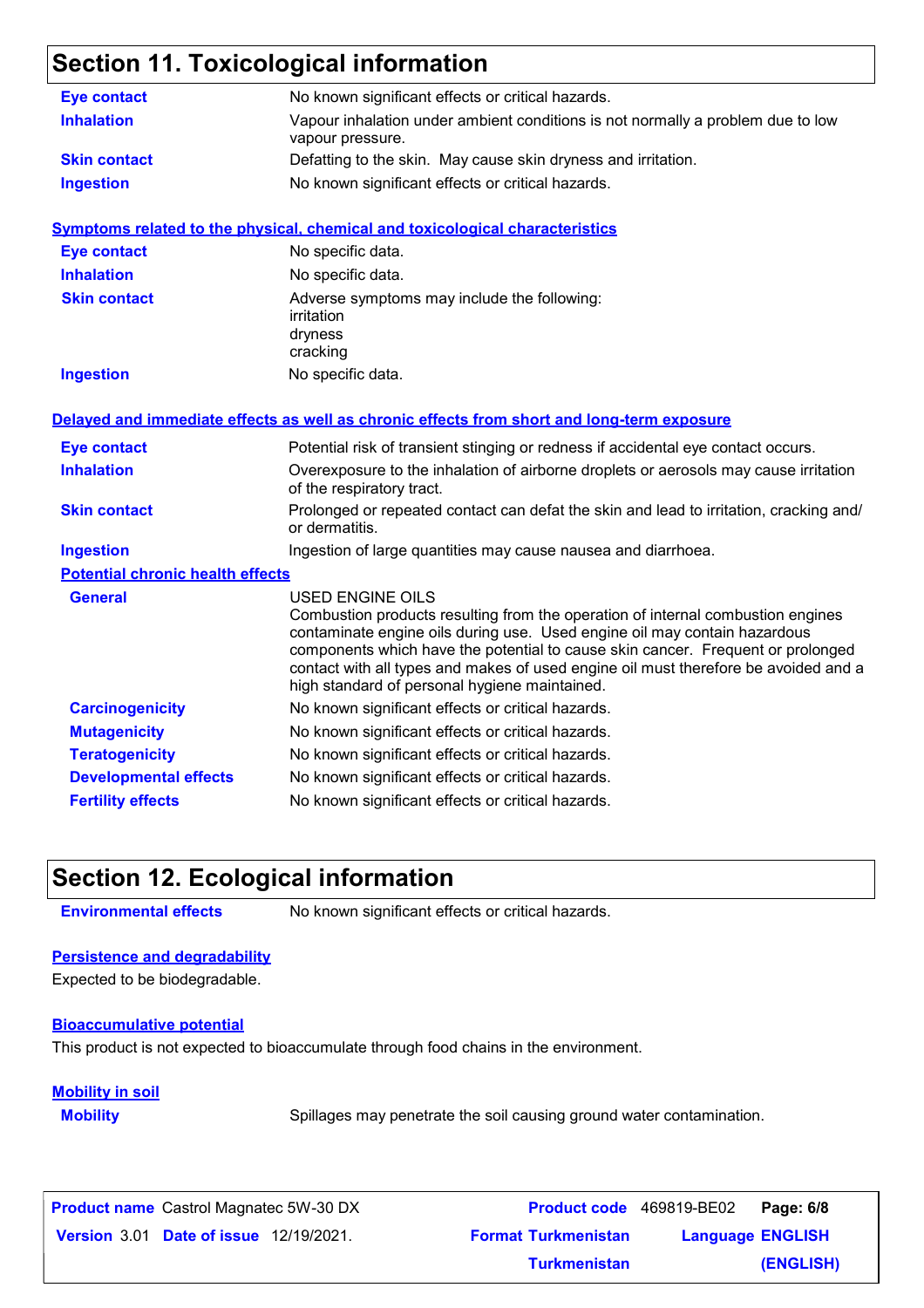### **Section 11. Toxicological information**

| <b>Eye contact</b>                      | No known significant effects or critical hazards.                                                                                                                                                                                                                                                                                                                                                                  |
|-----------------------------------------|--------------------------------------------------------------------------------------------------------------------------------------------------------------------------------------------------------------------------------------------------------------------------------------------------------------------------------------------------------------------------------------------------------------------|
| <b>Inhalation</b>                       | Vapour inhalation under ambient conditions is not normally a problem due to low<br>vapour pressure.                                                                                                                                                                                                                                                                                                                |
| <b>Skin contact</b>                     | Defatting to the skin. May cause skin dryness and irritation.                                                                                                                                                                                                                                                                                                                                                      |
| <b>Ingestion</b>                        | No known significant effects or critical hazards.                                                                                                                                                                                                                                                                                                                                                                  |
|                                         | <b>Symptoms related to the physical, chemical and toxicological characteristics</b>                                                                                                                                                                                                                                                                                                                                |
| <b>Eye contact</b>                      | No specific data.                                                                                                                                                                                                                                                                                                                                                                                                  |
| <b>Inhalation</b>                       | No specific data.                                                                                                                                                                                                                                                                                                                                                                                                  |
| <b>Skin contact</b>                     | Adverse symptoms may include the following:<br>irritation<br>dryness<br>cracking                                                                                                                                                                                                                                                                                                                                   |
| <b>Ingestion</b>                        | No specific data.                                                                                                                                                                                                                                                                                                                                                                                                  |
|                                         | Delayed and immediate effects as well as chronic effects from short and long-term exposure                                                                                                                                                                                                                                                                                                                         |
| <b>Eye contact</b>                      | Potential risk of transient stinging or redness if accidental eye contact occurs.                                                                                                                                                                                                                                                                                                                                  |
| <b>Inhalation</b>                       | Overexposure to the inhalation of airborne droplets or aerosols may cause irritation<br>of the respiratory tract.                                                                                                                                                                                                                                                                                                  |
| <b>Skin contact</b>                     | Prolonged or repeated contact can defat the skin and lead to irritation, cracking and/<br>or dermatitis.                                                                                                                                                                                                                                                                                                           |
| <b>Ingestion</b>                        | Ingestion of large quantities may cause nausea and diarrhoea.                                                                                                                                                                                                                                                                                                                                                      |
| <b>Potential chronic health effects</b> |                                                                                                                                                                                                                                                                                                                                                                                                                    |
| <b>General</b>                          | <b>USED ENGINE OILS</b><br>Combustion products resulting from the operation of internal combustion engines<br>contaminate engine oils during use. Used engine oil may contain hazardous<br>components which have the potential to cause skin cancer. Frequent or prolonged<br>contact with all types and makes of used engine oil must therefore be avoided and a<br>high standard of personal hygiene maintained. |
| <b>Carcinogenicity</b>                  | No known significant effects or critical hazards.                                                                                                                                                                                                                                                                                                                                                                  |
| <b>Mutagenicity</b>                     | No known significant effects or critical hazards.                                                                                                                                                                                                                                                                                                                                                                  |
| <b>Teratogenicity</b>                   | No known significant effects or critical hazards.                                                                                                                                                                                                                                                                                                                                                                  |
| <b>Developmental effects</b>            | No known significant effects or critical hazards.                                                                                                                                                                                                                                                                                                                                                                  |
| <b>Fertility effects</b>                | No known significant effects or critical hazards.                                                                                                                                                                                                                                                                                                                                                                  |

### **Section 12. Ecological information**

**Environmental effects** No known significant effects or critical hazards.

#### **Persistence and degradability**

Expected to be biodegradable.

#### **Bioaccumulative potential**

This product is not expected to bioaccumulate through food chains in the environment.

### **Mobility in soil**

**Mobility** Spillages may penetrate the soil causing ground water contamination.

**Date of issue** 12/19/2021. **Version** 3.01 **Format Turkmenistan Language Product name** Castrol Magnatec 5W-30 DX **Product code** 469819-BE02 **Page: 6/8 Language ENGLISH (ENGLISH) Product code** 469819-BE02 Page: 6/8 **Turkmenistan**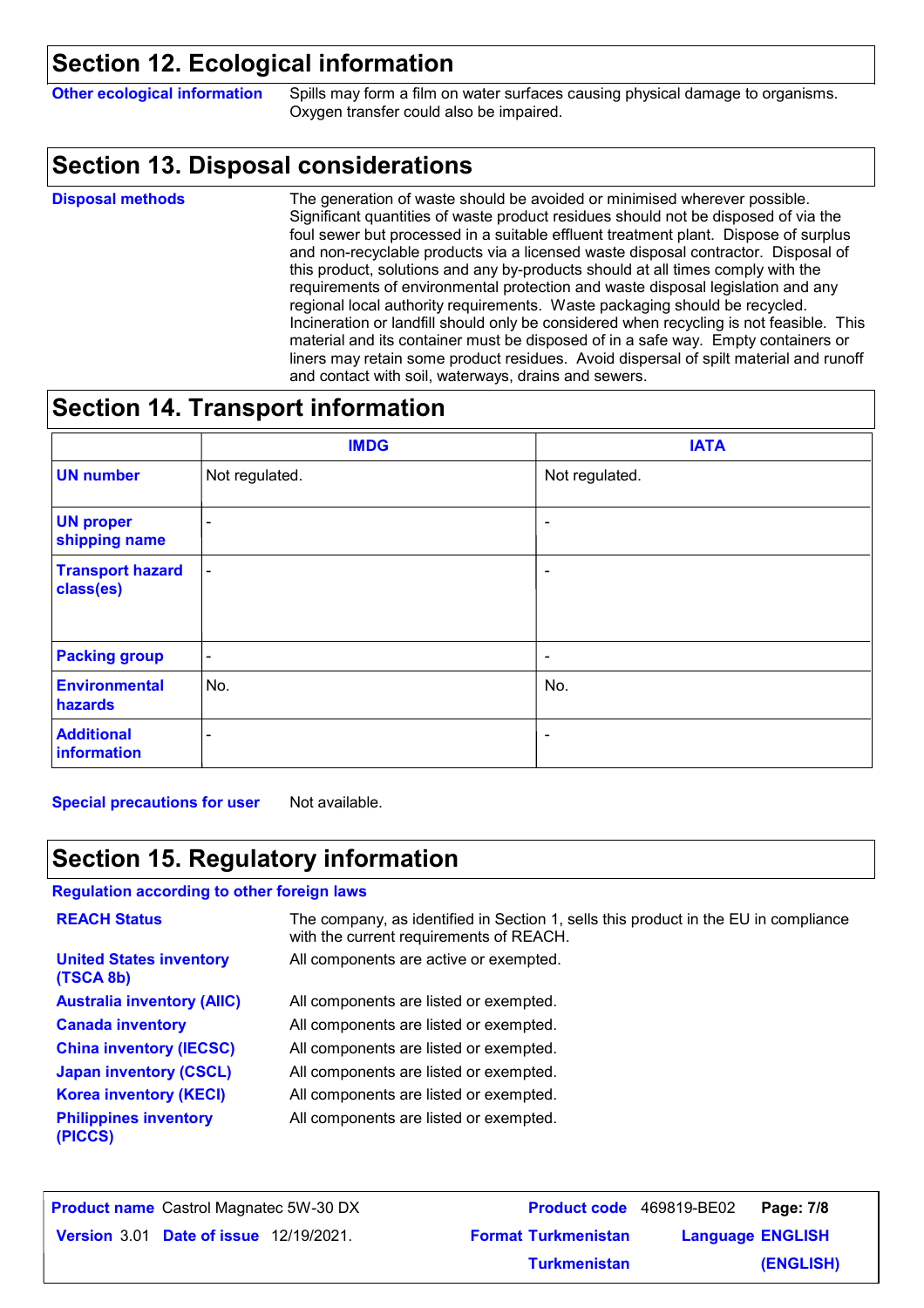### **Section 12. Ecological information**

**Other ecological information** Spills may form a film on water surfaces causing physical damage to organisms. Oxygen transfer could also be impaired.

### **Section 13. Disposal considerations**

The generation of waste should be avoided or minimised wherever possible. Significant quantities of waste product residues should not be disposed of via the foul sewer but processed in a suitable effluent treatment plant. Dispose of surplus and non-recyclable products via a licensed waste disposal contractor. Disposal of this product, solutions and any by-products should at all times comply with the requirements of environmental protection and waste disposal legislation and any regional local authority requirements. Waste packaging should be recycled. Incineration or landfill should only be considered when recycling is not feasible. This material and its container must be disposed of in a safe way. Empty containers or liners may retain some product residues. Avoid dispersal of spilt material and runoff and contact with soil, waterways, drains and sewers. **Disposal methods**

### **Section 14. Transport information**

|                                      | <b>IMDG</b>              | <b>IATA</b>              |
|--------------------------------------|--------------------------|--------------------------|
| <b>UN number</b>                     | Not regulated.           | Not regulated.           |
| <b>UN proper</b><br>shipping name    | $\overline{\phantom{a}}$ | $\sim$                   |
| <b>Transport hazard</b><br>class(es) | $\blacksquare$           | $\blacksquare$           |
| <b>Packing group</b>                 | $\blacksquare$           | $\blacksquare$           |
| <b>Environmental</b><br>hazards      | No.                      | No.                      |
| <b>Additional</b><br>information     | ۰                        | $\overline{\phantom{a}}$ |

**Special precautions for user** Not available.

### **Section 15. Regulatory information**

**Regulation according to other foreign laws**

| <b>REACH Status</b>                         | The company, as identified in Section 1, sells this product in the EU in compliance<br>with the current requirements of REACH. |
|---------------------------------------------|--------------------------------------------------------------------------------------------------------------------------------|
| <b>United States inventory</b><br>(TSCA 8b) | All components are active or exempted.                                                                                         |
| <b>Australia inventory (AIIC)</b>           | All components are listed or exempted.                                                                                         |
| <b>Canada inventory</b>                     | All components are listed or exempted.                                                                                         |
| <b>China inventory (IECSC)</b>              | All components are listed or exempted.                                                                                         |
| <b>Japan inventory (CSCL)</b>               | All components are listed or exempted.                                                                                         |
| <b>Korea inventory (KECI)</b>               | All components are listed or exempted.                                                                                         |
| <b>Philippines inventory</b><br>(PICCS)     | All components are listed or exempted.                                                                                         |

| <b>Product name</b> Castrol Magnatec 5W-30 DX |                            | Product code 469819-BE02 Page: 7/8 |           |
|-----------------------------------------------|----------------------------|------------------------------------|-----------|
| <b>Version 3.01 Date of issue 12/19/2021.</b> | <b>Format Turkmenistan</b> | <b>Language ENGLISH</b>            |           |
|                                               | <b>Turkmenistan</b>        |                                    | (ENGLISH) |